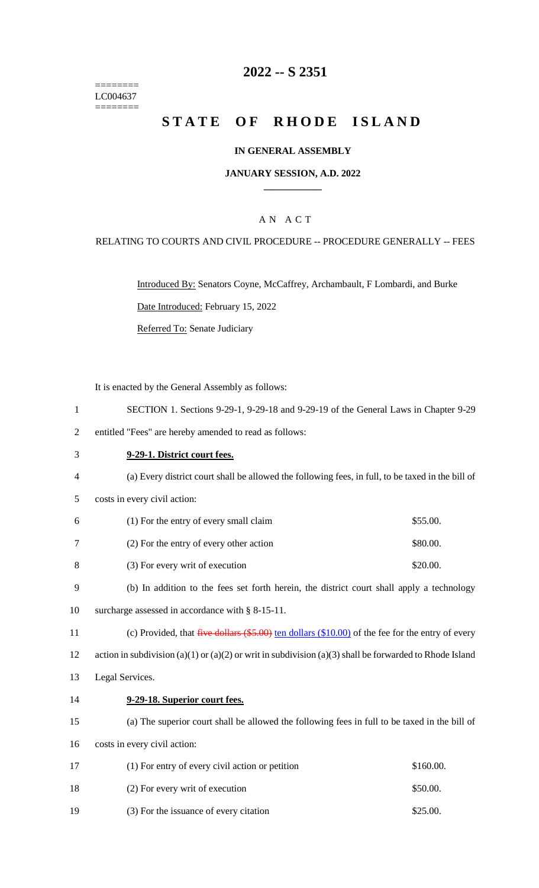======== LC004637 ========

# **2022 -- S 2351**

# **STATE OF RHODE ISLAND**

### **IN GENERAL ASSEMBLY**

### **JANUARY SESSION, A.D. 2022 \_\_\_\_\_\_\_\_\_\_\_\_**

### A N A C T

### RELATING TO COURTS AND CIVIL PROCEDURE -- PROCEDURE GENERALLY -- FEES

Introduced By: Senators Coyne, McCaffrey, Archambault, F Lombardi, and Burke Date Introduced: February 15, 2022

Referred To: Senate Judiciary

It is enacted by the General Assembly as follows:

- 1 SECTION 1. Sections 9-29-1, 9-29-18 and 9-29-19 of the General Laws in Chapter 9-29
- 2 entitled "Fees" are hereby amended to read as follows:

# 3 **9-29-1. District court fees.** 4 (a) Every district court shall be allowed the following fees, in full, to be taxed in the bill of 5 costs in every civil action: 6 (1) For the entry of every small claim \$55.00. 7 (2) For the entry of every other action \$80.00. 8 (3) For every writ of execution \$20.00. 9 (b) In addition to the fees set forth herein, the district court shall apply a technology 10 surcharge assessed in accordance with § 8-15-11. 11 (c) Provided, that five dollars (\$5.00) ten dollars (\$10.00) of the fee for the entry of every 12 action in subdivision (a)(1) or (a)(2) or writ in subdivision (a)(3) shall be forwarded to Rhode Island 13 Legal Services. 14 **9-29-18. Superior court fees.** 15 (a) The superior court shall be allowed the following fees in full to be taxed in the bill of 16 costs in every civil action: 17 (1) For entry of every civil action or petition \$160.00. 18 (2) For every writ of execution \$50.00.

19 (3) For the issuance of every citation \$25.00.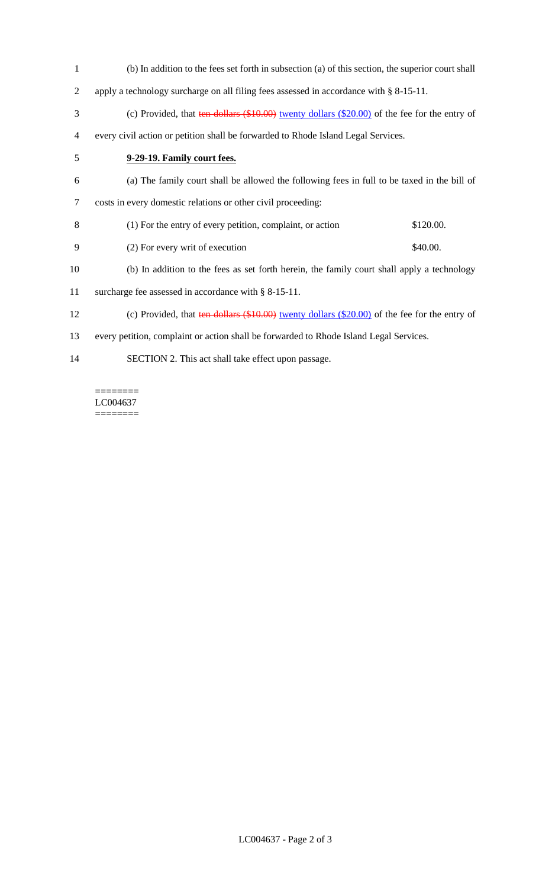(b) In addition to the fees set forth in subsection (a) of this section, the superior court shall apply a technology surcharge on all filing fees assessed in accordance with § 8-15-11. 3 (c) Provided, that ten dollars (\$10.00) twenty dollars (\$20.00) of the fee for the entry of every civil action or petition shall be forwarded to Rhode Island Legal Services. **9-29-19. Family court fees.** (a) The family court shall be allowed the following fees in full to be taxed in the bill of costs in every domestic relations or other civil proceeding: (1) For the entry of every petition, complaint, or action \$120.00. 9 (2) For every writ of execution \$40.00. (b) In addition to the fees as set forth herein, the family court shall apply a technology surcharge fee assessed in accordance with § 8-15-11. (c) Provided, that ten dollars (\$10.00) twenty dollars (\$20.00) of the fee for the entry of every petition, complaint or action shall be forwarded to Rhode Island Legal Services. SECTION 2. This act shall take effect upon passage.

======== LC004637 ========